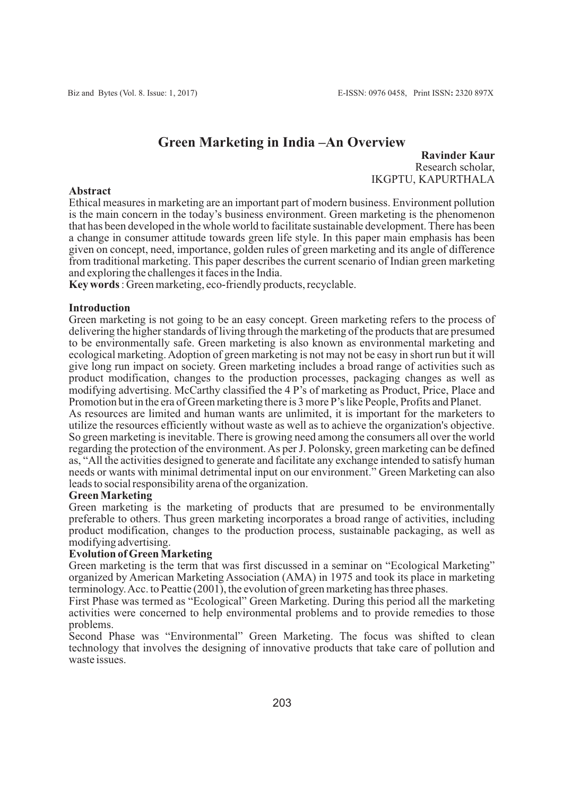# **Green Marketing in India –An Overview**

**Ravinder Kaur** Research scholar, IKGPTU, KAPURTHALA

#### **Abstract**

Ethical measures in marketing are an important part of modern business. Environment pollution is the main concern in the today's business environment. Green marketing is the phenomenon that has been developed in the whole world to facilitate sustainable development. There has been a change in consumer attitude towards green life style. In this paper main emphasis has been given on concept, need, importance, golden rules of green marketing and its angle of difference from traditional marketing. This paper describes the current scenario of Indian green marketing and exploring the challenges it faces in the India.

**Key words** : Green marketing, eco-friendly products, recyclable.

#### **Introduction**

Green marketing is not going to be an easy concept. Green marketing refers to the process of delivering the higher standards of living through the marketing of the products that are presumed to be environmentally safe. Green marketing is also known as environmental marketing and ecological marketing. Adoption of green marketing is not may not be easy in short run but it will give long run impact on society. Green marketing includes a broad range of activities such as product modification, changes to the production processes, packaging changes as well as modifying advertising. McCarthy classified the 4 P's of marketing as Product, Price, Place and Promotion but in the era of Green marketing there is 3 more P's like People, Profits and Planet.

As resources are limited and human wants are unlimited, it is important for the marketers to utilize the resources efficiently without waste as well as to achieve the organization's objective. So green marketing is inevitable. There is growing need among the consumers all over the world regarding the protection of the environment. As per J. Polonsky, green marketing can be defined as, "All the activities designed to generate and facilitate any exchange intended to satisfy human needs or wants with minimal detrimental input on our environment." Green Marketing can also leads to social responsibility arena of the organization.

#### **Green Marketing**

Green marketing is the marketing of products that are presumed to be environmentally preferable to others. Thus green marketing incorporates a broad range of activities, including product modification, changes to the production process, sustainable packaging, as well as modifying advertising.

#### **Evolution of Green Marketing**

Green marketing is the term that was first discussed in a seminar on "Ecological Marketing" organized by American Marketing Association (AMA) in 1975 and took its place in marketing terminology. Acc. to Peattie (2001), the evolution of green marketing has three phases.

First Phase was termed as "Ecological" Green Marketing. During this period all the marketing activities were concerned to help environmental problems and to provide remedies to those problems.

Second Phase was "Environmental" Green Marketing. The focus was shifted to clean technology that involves the designing of innovative products that take care of pollution and waste issues.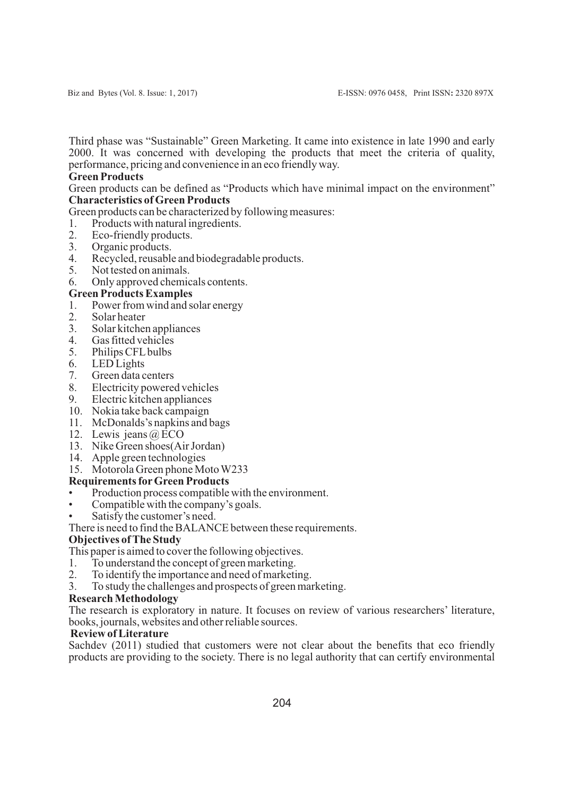Third phase was "Sustainable" Green Marketing. It came into existence in late 1990 and early 2000. It was concerned with developing the products that meet the criteria of quality, performance, pricing and convenience in an eco friendly way.

## **Green Products**

Green products can be defined as "Products which have minimal impact on the environment" **Characteristics of Green Products**

Green products can be characterized by following measures:

- 1. Products with natural ingredients.<br>2. Eco-friendly products
- 2. Eco-friendly products.<br>3. Organic products.
- 3. Organic products.<br>4 Recycled reusable
- 4. Recycled, reusable and biodegradable products.<br>5. Not tested on animals.
- Not tested on animals.
- 6. Only approved chemicals contents.
- **Green Products Examples**
- 1. Power from wind and solar energy<br>2. Solar heater
- 2. Solar heater<br>3. Solar kitchen
- 3. Solar kitchen appliances
- Gas fitted vehicles
- 5. Philips CFLbulbs
- 6. LED Lights
- 7. Green data centers
- Electricity powered vehicles
- 9. Electric kitchen appliances
- 10. Nokia take back campaign
- 11. McDonalds's napkins and bags
- 12. Lewis jeans @ ECO
- 13. Nike Green shoes(Air Jordan)
- 14. Apple green technologies
- 15. Motorola Green phone Moto W233

## **Requirements forGreen Products**

- Production process compatible with the environment.
- Compatible with the company's goals.
- Satisfy the customer's need.

There is need to find the BALANCE between these requirements.

## **Objectives of The Study**

This paper is aimed to cover the following objectives.

- 1. To understand the concept of green marketing.<br>2. To identify the importance and need of marketing.
- To identify the importance and need of marketing.
- 3. To study the challenges and prospects of green marketing.

## **Research Methodology**

The research is exploratory in nature. It focuses on review of various researchers' literature, books, journals, websites and other reliable sources.

## **Review of Literature**

Sachdev (2011) studied that customers were not clear about the benefits that eco friendly products are providing to the society. There is no legal authority that can certify environmental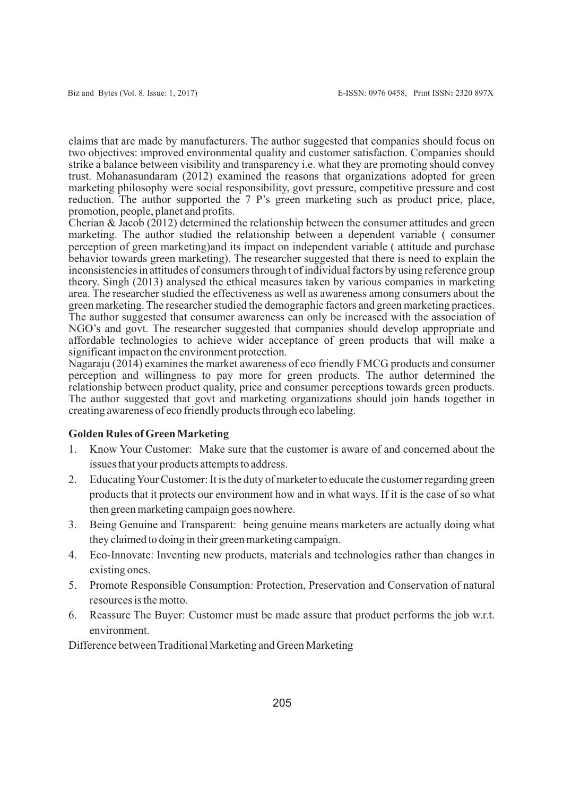claims that are made by manufacturers. The author suggested that companies should focus on two objectives: improved environmental quality and customer satisfaction. Companies should strike a balance between visibility and transparency i.e. what they are promoting should convey trust. Mohanasundaram (2012) examined the reasons that organizations adopted for green marketing philosophy were social responsibility, govt pressure, competitive pressure and cost reduction. The author supported the 7 P's green marketing such as product price, place, promotion, people, planet and profits.

Cherian & Jacob (2012) determined the relationship between the consumer attitudes and green marketing. The author studied the relationship between a dependent variable ( consumer perception of green marketing)and its impact on independent variable ( attitude and purchase behavior towards green marketing). The researcher suggested that there is need to explain the inconsistencies in attitudes of consumers through t of individual factors by using reference group theory. Singh (2013) analysed the ethical measures taken by various companies in marketing area. The researcher studied the effectiveness as well as awareness among consumers about the green marketing. The researcher studied the demographic factors and green marketing practices. The author suggested that consumer awareness can only be increased with the association of NGO's and govt. The researcher suggested that companies should develop appropriate and affordable technologies to achieve wider acceptance of green products that will make a significant impact on the environment protection.

Nagaraju (2014) examines the market awareness of eco friendly FMCG products and consumer perception and willingness to pay more for green products. The author determined the relationship between product quality, price and consumer perceptions towards green products. The author suggested that govt and marketing organizations should join hands together in creating awareness of eco friendly products through eco labeling.

#### **Golden Rules of Green Marketing**

- 1. Know Your Customer: Make sure that the customer is aware of and concerned about the issues that your products attempts to address.
- 2. Educating Your Customer: It is the duty of marketer to educate the customer regarding green products that it protects our environment how and in what ways. If it is the case of so what then green marketing campaign goes nowhere.
- 3. Being Genuine and Transparent: being genuine means marketers are actually doing what they claimed to doing in their green marketing campaign.
- 4. Eco-Innovate: Inventing new products, materials and technologies rather than changes in existing ones.
- 5. Promote Responsible Consumption: Protection, Preservation and Conservation of natural resources is the motto.
- 6. Reassure The Buyer: Customer must be made assure that product performs the job w.r.t. environment.

Difference between Traditional Marketing and Green Marketing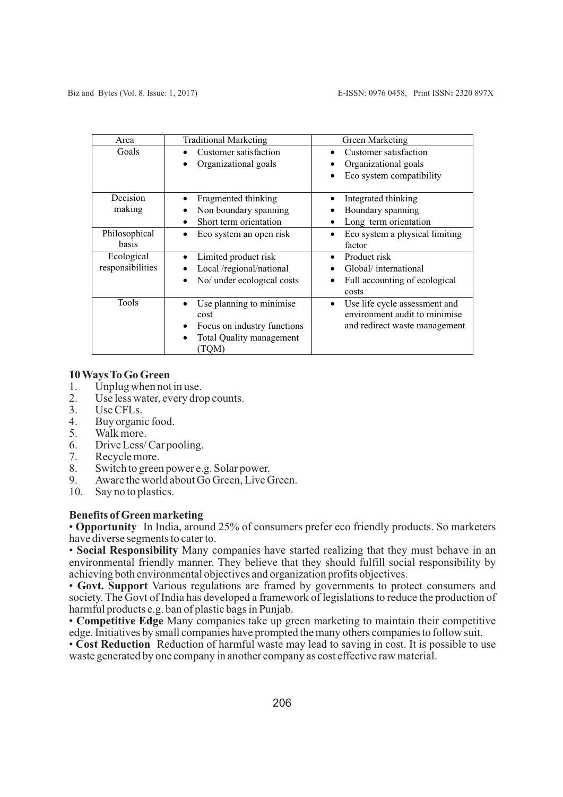| Area                           | <b>Traditional Marketing</b>                                                                        | Green Marketing                                                                                 |
|--------------------------------|-----------------------------------------------------------------------------------------------------|-------------------------------------------------------------------------------------------------|
| Goals                          | Customer satisfaction<br>Organizational goals                                                       | Customer satisfaction<br>Organizational goals<br>Eco system compatibility                       |
| Decision<br>making             | Fragmented thinking<br>Non boundary spanning<br>Short term orientation                              | Integrated thinking<br>Boundary spanning<br>Long term orientation                               |
| Philosophical<br>basis         | Eco system an open risk                                                                             | Eco system a physical limiting<br>factor                                                        |
| Ecological<br>responsibilities | Limited product risk<br>Local /regional/national<br>No/ under ecological costs                      | Product risk<br>Global/international<br>Full accounting of ecological<br>costs                  |
| Tools                          | Use planning to minimise<br>cost<br>Focus on industry functions<br>Total Quality management<br>TQM) | Use life cycle assessment and<br>environment audit to minimise<br>and redirect waste management |

#### **10 Ways To Go Green**

- 1. Unplug when not in use.<br>2. Use less water, every dro
- 2. Use less water, every drop counts.<br>3. Use CFLs.
- 3. Use CFLs.<br>4 Buy organi
- 4. Buy organic food.<br>5. Walk more.
- 5. Walk more.<br>6. Drive Less/
- Drive Less/ Car pooling.
- 7. Recycle more.
- 8. Switch to green power e.g. Solar power.<br>9. Aware the world about Go Green. Live C
- 9. Aware the world about Go Green, Live Green.<br>10. Say no to plastics.
- Say no to plastics.

## **Benefits of Green marketing**

• **Opportunity** In India, around 25% of consumers prefer eco friendly products. So marketers have diverse segments to cater to.

• **Social Responsibility** Many companies have started realizing that they must behave in an environmental friendly manner. They believe that they should fulfill social responsibility by achieving both environmental objectives and organization profits objectives.

• **Govt. Support** Various regulations are framed by governments to protect consumers and society. The Govt of India has developed a framework of legislations to reduce the production of harmful products e.g. ban of plastic bags in Punjab.

• **Competitive Edge** Many companies take up green marketing to maintain their competitive edge. Initiatives by small companies have prompted the many others companies to follow suit.

• **Cost Reduction** Reduction of harmful waste may lead to saving in cost. It is possible to use waste generated by one company in another company as cost effective raw material.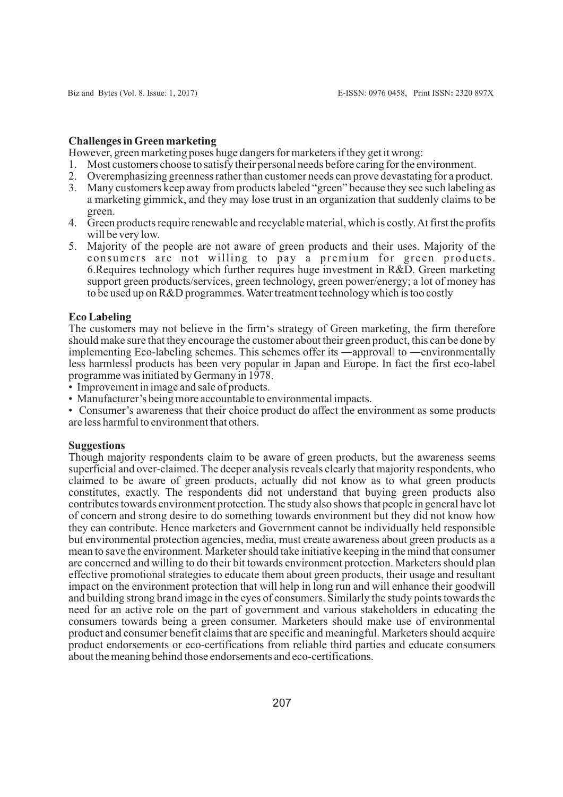#### **Challenges in Green marketing**

However, green marketing poses huge dangers for marketers if they get it wrong:

- 1. Most customers choose to satisfy their personal needs before caring for the environment.
- 2. Overemphasizing greenness rather than customer needs can prove devastating for a product.
- 3. Many customers keep away from products labeled "green" because they see such labeling as a marketing gimmick, and they may lose trust in an organization that suddenly claims to be green.
- 4. Green products require renewable and recyclable material, which is costly. At first the profits will be very low.
- 5. Majority of the people are not aware of green products and their uses. Majority of the consumers are not willing to pay a premium for green products. 6. Requires technology which further requires huge investment in R&D. Green marketing support green products/services, green technology, green power/energy; a lot of money has to be used up on R&D programmes. Water treatment technology which is too costly

#### **Eco Labeling**

The customers may not believe in the firm's strategy of Green marketing, the firm therefore should make sure that they encourage the customer about their green product, this can be done by implementing Eco-labeling schemes. This schemes offer its —approvall to —environmentally less harmlessǁ products has been very popular in Japan and Europe. In fact the first eco-label programme was initiated by Germany in 1978.

- Improvement in image and sale of products.
- Manufacturer's being more accountable to environmental impacts.
- Consumer's awareness that their choice product do affect the environment as some products are less harmful to environment that others.

#### **Suggestions**

Though majority respondents claim to be aware of green products, but the awareness seems superficial and over-claimed. The deeper analysis reveals clearly that majority respondents, who claimed to be aware of green products, actually did not know as to what green products constitutes, exactly. The respondents did not understand that buying green products also contributes towards environment protection. The study also shows that people in general have lot of concern and strong desire to do something towards environment but they did not know how they can contribute. Hence marketers and Government cannot be individually held responsible but environmental protection agencies, media, must create awareness about green products as a mean to save the environment. Marketer should take initiative keeping in the mind that consumer are concerned and willing to do their bit towards environment protection. Marketers should plan effective promotional strategies to educate them about green products, their usage and resultant impact on the environment protection that will help in long run and will enhance their goodwill and building strong brand image in the eyes of consumers. Similarly the study points towards the need for an active role on the part of government and various stakeholders in educating the consumers towards being a green consumer. Marketers should make use of environmental product and consumer benefit claims that are specific and meaningful. Marketers should acquire product endorsements or eco-certifications from reliable third parties and educate consumers about the meaning behind those endorsements and eco-certifications.